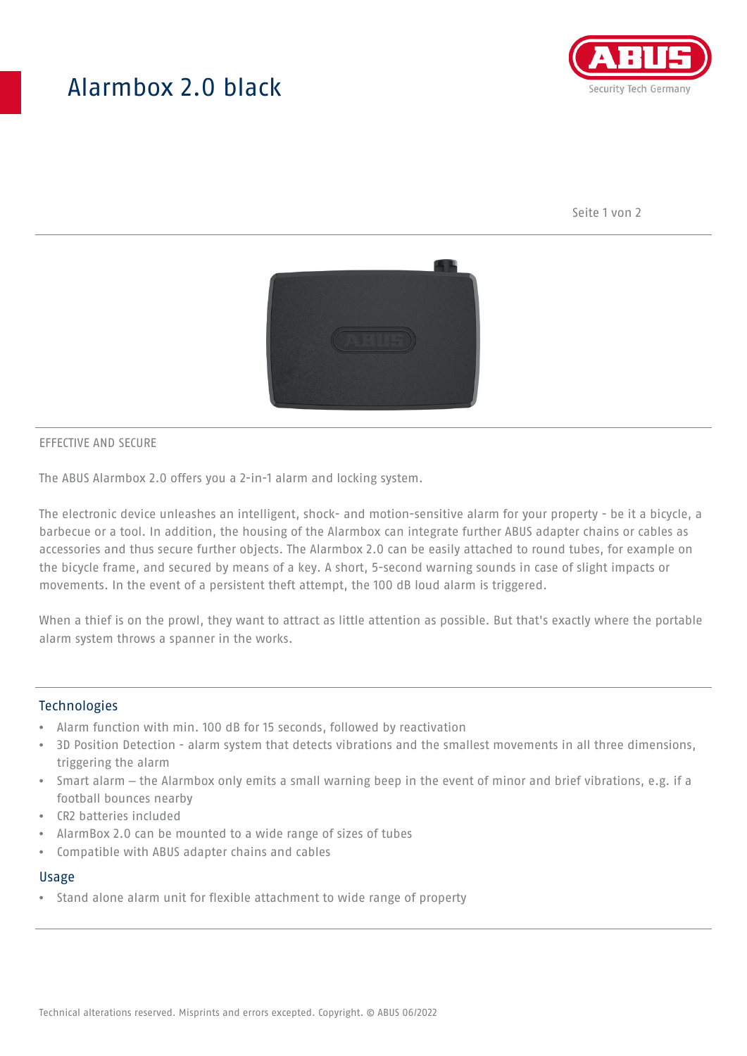## Alarmbox 2.0 black



Seite 1 von 2



#### EFFECTIVE AND SECURE

The ABUS Alarmbox 2.0 offers you a 2-in-1 alarm and locking system.

The electronic device unleashes an intelligent, shock- and motion-sensitive alarm for your property - be it a bicycle, a barbecue or a tool. In addition, the housing of the Alarmbox can integrate further ABUS adapter chains or cables as accessories and thus secure further objects. The Alarmbox 2.0 can be easily attached to round tubes, for example on the bicycle frame, and secured by means of a key. A short, 5-second warning sounds in case of slight impacts or movements. In the event of a persistent theft attempt, the 100 dB loud alarm is triggered.

When a thief is on the prowl, they want to attract as little attention as possible. But that's exactly where the portable alarm system throws a spanner in the works.

#### Technologies

- Alarm function with min. 100 dB for 15 seconds, followed by reactivation
- 3D Position Detection alarm system that detects vibrations and the smallest movements in all three dimensions, triggering the alarm
- Smart alarm the Alarmbox only emits a small warning beep in the event of minor and brief vibrations, e.g. if a football bounces nearby
- CR2 batteries included
- AlarmBox 2.0 can be mounted to a wide range of sizes of tubes
- Compatible with ABUS adapter chains and cables

#### Usage

• Stand alone alarm unit for flexible attachment to wide range of property